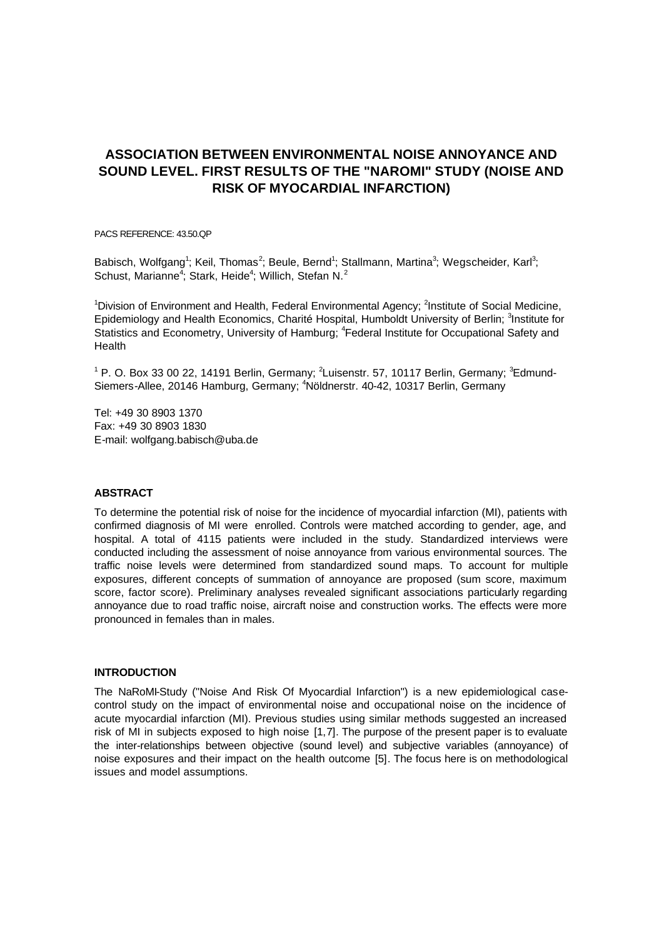# **ASSOCIATION BETWEEN ENVIRONMENTAL NOISE ANNOYANCE AND SOUND LEVEL. FIRST RESULTS OF THE "NAROMI" STUDY (NOISE AND RISK OF MYOCARDIAL INFARCTION)**

PACS REFERENCE: 43.50.QP

Babisch, Wolfgang<sup>1</sup>; Keil, Thomas<sup>2</sup>; Beule, Bernd<sup>1</sup>; Stallmann, Martina<sup>3</sup>; Wegscheider, Karl<sup>3</sup>; Schust, Marianne<sup>4</sup>; Stark, Heide<sup>4</sup>; Willich, Stefan N.<sup>2</sup>

<sup>1</sup>Division of Environment and Health, Federal Environmental Agency; <sup>2</sup>Institute of Social Medicine, Epidemiology and Health Economics, Charité Hospital, Humboldt University of Berlin; <sup>3</sup>Institute for Statistics and Econometry, University of Hamburg; <sup>4</sup>Federal Institute for Occupational Safety and Health

<sup>1</sup> P. O. Box 33 00 22, 14191 Berlin, Germany; <sup>2</sup>Luisenstr. 57, 10117 Berlin, Germany; <sup>3</sup>Edmund-Siemers-Allee, 20146 Hamburg, Germany; <sup>4</sup>Nöldnerstr. 40-42, 10317 Berlin, Germany

Tel: +49 30 8903 1370 Fax: +49 30 8903 1830 E-mail: wolfgang.babisch@uba.de

### **ABSTRACT**

To determine the potential risk of noise for the incidence of myocardial infarction (MI), patients with confirmed diagnosis of MI were enrolled. Controls were matched according to gender, age, and hospital. A total of 4115 patients were included in the study. Standardized interviews were conducted including the assessment of noise annoyance from various environmental sources. The traffic noise levels were determined from standardized sound maps. To account for multiple exposures, different concepts of summation of annoyance are proposed (sum score, maximum score, factor score). Preliminary analyses revealed significant associations particularly regarding annoyance due to road traffic noise, aircraft noise and construction works. The effects were more pronounced in females than in males.

#### **INTRODUCTION**

The NaRoMI-Study ("Noise And Risk Of Myocardial Infarction") is a new epidemiological casecontrol study on the impact of environmental noise and occupational noise on the incidence of acute myocardial infarction (MI). Previous studies using similar methods suggested an increased risk of MI in subjects exposed to high noise [1,7]. The purpose of the present paper is to evaluate the inter-relationships between objective (sound level) and subjective variables (annoyance) of noise exposures and their impact on the health outcome [5]. The focus here is on methodological issues and model assumptions.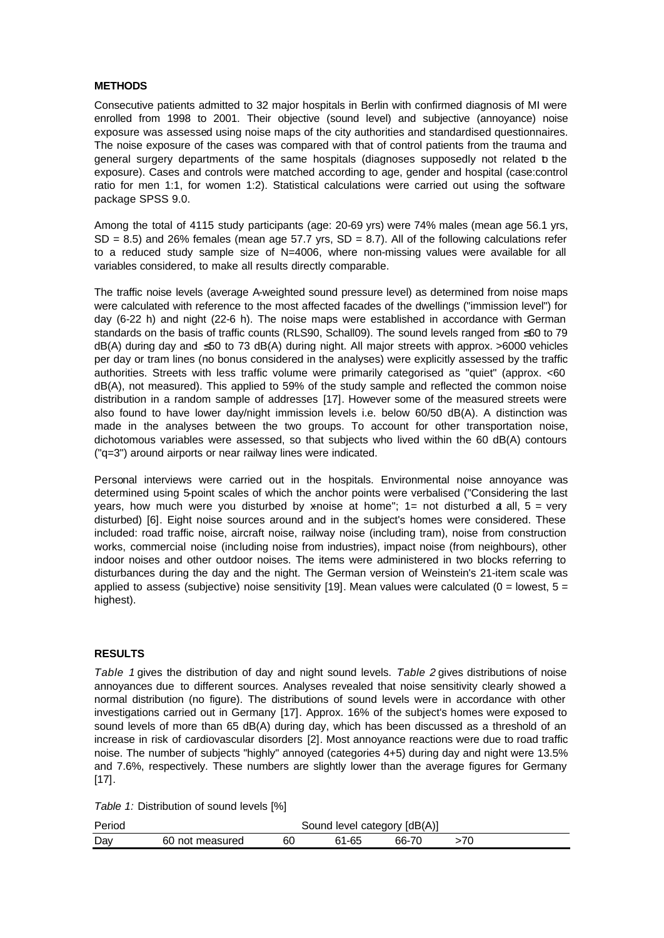## **METHODS**

Consecutive patients admitted to 32 major hospitals in Berlin with confirmed diagnosis of MI were enrolled from 1998 to 2001. Their objective (sound level) and subjective (annoyance) noise exposure was assessed using noise maps of the city authorities and standardised questionnaires. The noise exposure of the cases was compared with that of control patients from the trauma and general surgery departments of the same hospitals (diagnoses supposedly not related to the exposure). Cases and controls were matched according to age, gender and hospital (case:control ratio for men 1:1, for women 1:2). Statistical calculations were carried out using the software package SPSS 9.0.

Among the total of 4115 study participants (age: 20-69 yrs) were 74% males (mean age 56.1 yrs,  $SD = 8.5$ ) and 26% females (mean age 57.7 yrs,  $SD = 8.7$ ). All of the following calculations refer to a reduced study sample size of N=4006, where non-missing values were available for all variables considered, to make all results directly comparable.

The traffic noise levels (average A-weighted sound pressure level) as determined from noise maps were calculated with reference to the most affected facades of the dwellings ("immission level") for day (6-22 h) and night (22-6 h). The noise maps were established in accordance with German standards on the basis of traffic counts (RLS90, Schall09). The sound levels ranged from ≤60 to 79 dB(A) during day and ≤50 to 73 dB(A) during night. All major streets with approx. >6000 vehicles per day or tram lines (no bonus considered in the analyses) were explicitly assessed by the traffic authorities. Streets with less traffic volume were primarily categorised as "quiet" (approx. <60 dB(A), not measured). This applied to 59% of the study sample and reflected the common noise distribution in a random sample of addresses [17]. However some of the measured streets were also found to have lower day/night immission levels i.e. below 60/50 dB(A). A distinction was made in the analyses between the two groups. To account for other transportation noise, dichotomous variables were assessed, so that subjects who lived within the 60 dB(A) contours ("q=3") around airports or near railway lines were indicated.

Personal interviews were carried out in the hospitals. Environmental noise annoyance was determined using 5-point scales of which the anchor points were verbalised ("Considering the last years, how much were you disturbed by xnoise at home";  $1=$  not disturbed a all,  $5=$  very disturbed) [6]. Eight noise sources around and in the subject's homes were considered. These included: road traffic noise, aircraft noise, railway noise (including tram), noise from construction works, commercial noise (including noise from industries), impact noise (from neighbours), other indoor noises and other outdoor noises. The items were administered in two blocks referring to disturbances during the day and the night. The German version of Weinstein's 21-item scale was applied to assess (subjective) noise sensitivity [19]. Mean values were calculated (0 = lowest,  $5 =$ highest).

## **RESULTS**

*Table 1* gives the distribution of day and night sound levels. *Table 2* gives distributions of noise annoyances due to different sources. Analyses revealed that noise sensitivity clearly showed a normal distribution (no figure). The distributions of sound levels were in accordance with other investigations carried out in Germany [17]. Approx. 16% of the subject's homes were exposed to sound levels of more than 65 dB(A) during day, which has been discussed as a threshold of an increase in risk of cardiovascular disorders [2]. Most annoyance reactions were due to road traffic noise. The number of subjects "highly" annoyed (categories 4+5) during day and night were 13.5% and 7.6%, respectively. These numbers are slightly lower than the average figures for Germany [17].

*Table 1:* Distribution of sound levels [%]

| Period |                 |    | Sound level category [dB(A)] |       |  |  |
|--------|-----------------|----|------------------------------|-------|--|--|
| Day    | 60 not measured | 60 | 61-65                        | 66-70 |  |  |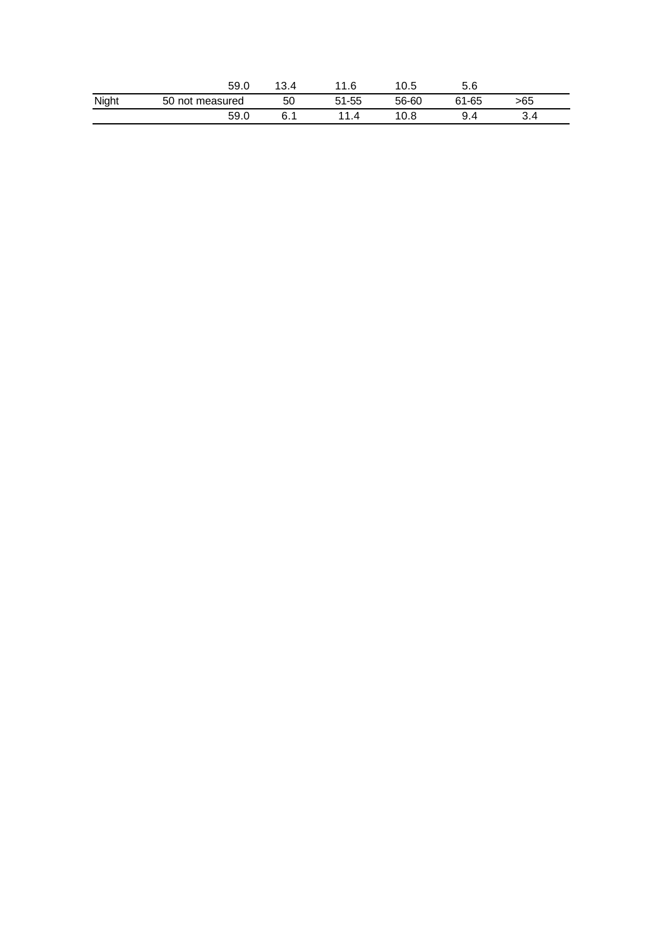|       | 59.0            | 13.4 | 11.6      | 10.5  | 5.6   |     |  |
|-------|-----------------|------|-----------|-------|-------|-----|--|
| Night | 50 not measured | 50   | $51 - 55$ | 56-60 | 61-65 | >65 |  |
|       | 59.0            | 6.1  | 11        | 10.8  | 9.4   | 3.4 |  |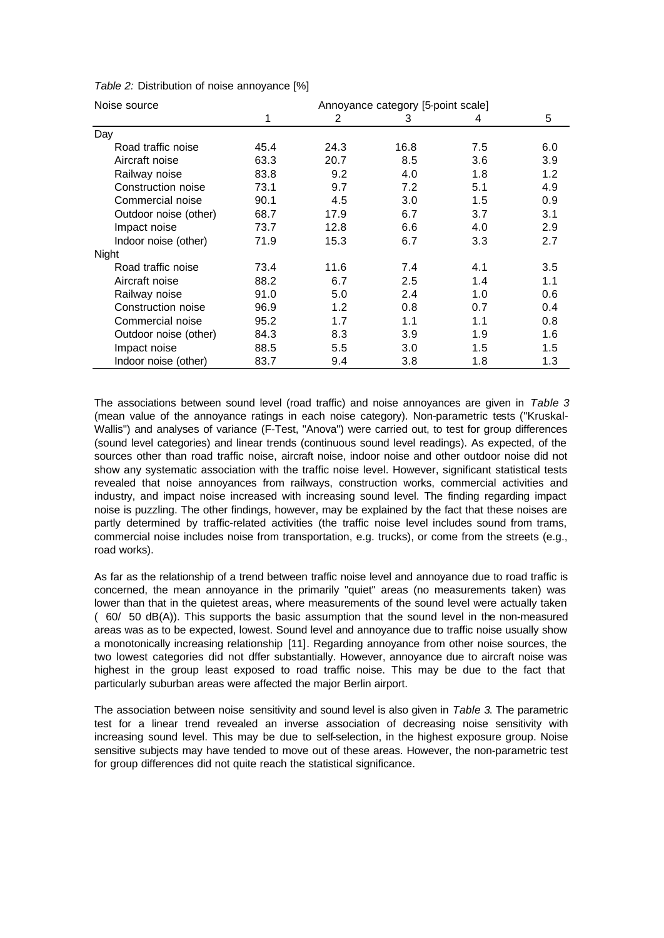| Noise source          | Annoyance category [5-point scale] |      |      |               |     |  |  |
|-----------------------|------------------------------------|------|------|---------------|-----|--|--|
|                       | 1                                  | 2    | 3    | 4             | 5   |  |  |
| Day                   |                                    |      |      |               |     |  |  |
| Road traffic noise    | 45.4                               | 24.3 | 16.8 | 7.5           | 6.0 |  |  |
| Aircraft noise        | 63.3                               | 20.7 | 8.5  | 3.6           | 3.9 |  |  |
| Railway noise         | 83.8                               | 9.2  | 4.0  | 1.8           | 1.2 |  |  |
| Construction noise    | 73.1                               | 9.7  | 7.2  | 5.1           | 4.9 |  |  |
| Commercial noise      | 90.1                               | 4.5  | 3.0  | 1.5           | 0.9 |  |  |
| Outdoor noise (other) | 68.7                               | 17.9 | 6.7  | 3.7           | 3.1 |  |  |
| Impact noise          | 73.7                               | 12.8 | 6.6  | 4.0           | 2.9 |  |  |
| Indoor noise (other)  | 71.9                               | 15.3 | 6.7  | 3.3           | 2.7 |  |  |
| Night                 |                                    |      |      |               |     |  |  |
| Road traffic noise    | 73.4                               | 11.6 | 7.4  | 4.1           | 3.5 |  |  |
| Aircraft noise        | 88.2                               | 6.7  | 2.5  | 1.4           | 1.1 |  |  |
| Railway noise         | 91.0                               | 5.0  | 2.4  | 1.0           | 0.6 |  |  |
| Construction noise    | 96.9                               | 1.2  | 0.8  | 0.7           | 0.4 |  |  |
| Commercial noise      | 95.2                               | 1.7  | 1.1  | 1.1           | 0.8 |  |  |
| Outdoor noise (other) | 84.3                               | 8.3  | 3.9  | 1.9           | 1.6 |  |  |
| Impact noise          | 88.5                               | 5.5  | 3.0  | $1.5^{\circ}$ | 1.5 |  |  |
| Indoor noise (other)  | 83.7                               | 9.4  | 3.8  | 1.8           | 1.3 |  |  |

*Table 2:* Distribution of noise annoyance [%]

The associations between sound level (road traffic) and noise annoyances are given in *Table 3* (mean value of the annoyance ratings in each noise category). Non-parametric tests ("Kruskal-Wallis") and analyses of variance (F-Test, "Anova") were carried out, to test for group differences (sound level categories) and linear trends (continuous sound level readings). As expected, of the sources other than road traffic noise, aircraft noise, indoor noise and other outdoor noise did not show any systematic association with the traffic noise level. However, significant statistical tests revealed that noise annoyances from railways, construction works, commercial activities and industry, and impact noise increased with increasing sound level. The finding regarding impact noise is puzzling. The other findings, however, may be explained by the fact that these noises are partly determined by traffic-related activities (the traffic noise level includes sound from trams, commercial noise includes noise from transportation, e.g. trucks), or come from the streets (e.g., road works).

As far as the relationship of a trend between traffic noise level and annoyance due to road traffic is concerned, the mean annoyance in the primarily "quiet" areas (no measurements taken) was lower than that in the quietest areas, where measurements of the sound level were actually taken (60/50 dB(A)). This supports the basic assumption that the sound level in the non-measured areas was as to be expected, lowest. Sound level and annoyance due to traffic noise usually show a monotonically increasing relationship [11]. Regarding annoyance from other noise sources, the two lowest categories did not differ substantially. However, annoyance due to aircraft noise was highest in the group least exposed to road traffic noise. This may be due to the fact that particularly suburban areas were affected the major Berlin airport.

The association between noise sensitivity and sound level is also given in *Table 3*. The parametric test for a linear trend revealed an inverse association of decreasing noise sensitivity with increasing sound level. This may be due to self-selection, in the highest exposure group. Noise sensitive subjects may have tended to move out of these areas. However, the non-parametric test for group differences did not quite reach the statistical significance.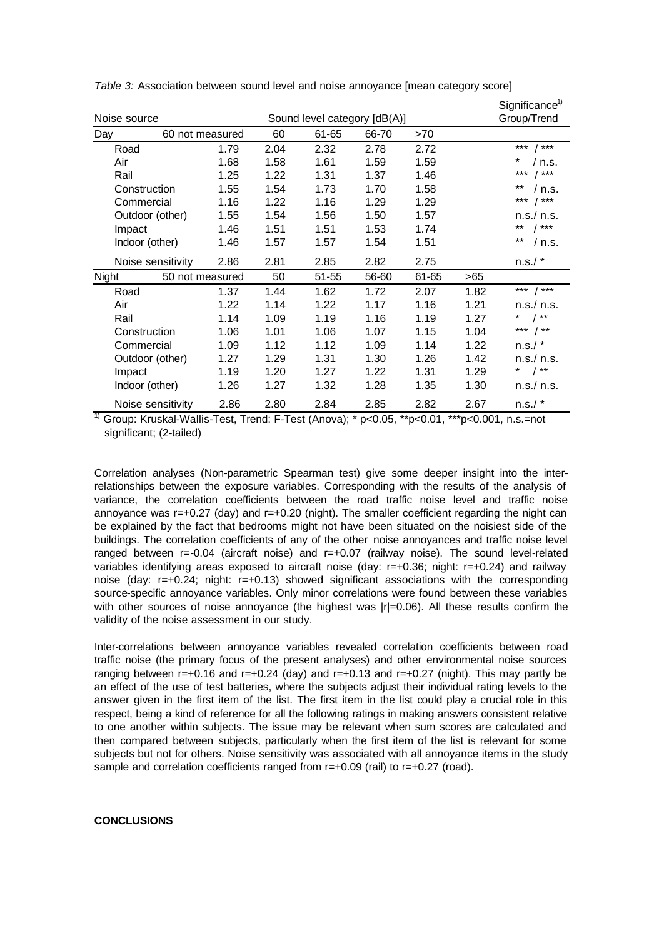|               |                   |                              |      |       |       |       |             | Significance <sup>1)</sup>                                                                                                                                                                                                                                                                                            |
|---------------|-------------------|------------------------------|------|-------|-------|-------|-------------|-----------------------------------------------------------------------------------------------------------------------------------------------------------------------------------------------------------------------------------------------------------------------------------------------------------------------|
| Noise source  |                   | Sound level category [dB(A)] |      |       |       |       | Group/Trend |                                                                                                                                                                                                                                                                                                                       |
| Day           | 60 not measured   |                              | 60   | 61-65 | 66-70 | >70   |             |                                                                                                                                                                                                                                                                                                                       |
|               | Road              | 1.79                         | 2.04 | 2.32  | 2.78  | 2.72  |             | *** $ $ ***                                                                                                                                                                                                                                                                                                           |
| Air           |                   | 1.68                         | 1.58 | 1.61  | 1.59  | 1.59  |             | / n.s.                                                                                                                                                                                                                                                                                                                |
|               | Rail              | 1.25                         | 1.22 | 1.31  | 1.37  | 1.46  |             | ***<br>$1***$                                                                                                                                                                                                                                                                                                         |
|               | Construction      | 1.55                         | 1.54 | 1.73  | 1.70  | 1.58  |             | **<br>/ n.s.                                                                                                                                                                                                                                                                                                          |
|               | Commercial        | 1.16                         | 1.22 | 1.16  | 1.29  | 1.29  |             | *** $/*$                                                                                                                                                                                                                                                                                                              |
|               | Outdoor (other)   | 1.55                         | 1.54 | 1.56  | 1.50  | 1.57  |             | n.s./ n.s.                                                                                                                                                                                                                                                                                                            |
|               | Impact            | 1.46                         | 1.51 | 1.51  | 1.53  | 1.74  |             | ** $1***$                                                                                                                                                                                                                                                                                                             |
|               | Indoor (other)    | 1.46                         | 1.57 | 1.57  | 1.54  | 1.51  |             | $***$<br>/ n.s.                                                                                                                                                                                                                                                                                                       |
|               | Noise sensitivity | 2.86                         | 2.81 | 2.85  | 2.82  | 2.75  |             | n.s.'                                                                                                                                                                                                                                                                                                                 |
| Night         | 50 not measured   |                              | 50   | 51-55 | 56-60 | 61-65 | >65         |                                                                                                                                                                                                                                                                                                                       |
|               | Road              | 1.37                         | 1.44 | 1.62  | 1.72  | 2.07  | 1.82        | *** $/*$                                                                                                                                                                                                                                                                                                              |
| Air           |                   | 1.22                         | 1.14 | 1.22  | 1.17  | 1.16  | 1.21        | n.s./ n.s.                                                                                                                                                                                                                                                                                                            |
|               | Rail              | 1.14                         | 1.09 | 1.19  | 1.16  | 1.19  | 1.27        | * $/$ **                                                                                                                                                                                                                                                                                                              |
|               | Construction      | 1.06                         | 1.01 | 1.06  | 1.07  | 1.15  | 1.04        | *** $/*$                                                                                                                                                                                                                                                                                                              |
|               | Commercial        | 1.09                         | 1.12 | 1.12  | 1.09  | 1.14  | 1.22        | $n.s./$ *                                                                                                                                                                                                                                                                                                             |
|               | Outdoor (other)   | 1.27                         | 1.29 | 1.31  | 1.30  | 1.26  | 1.42        | n.s./ n.s.                                                                                                                                                                                                                                                                                                            |
|               | Impact            | 1.19                         | 1.20 | 1.27  | 1.22  | 1.31  | 1.29        | * $\frac{1}{2}$ $\frac{1}{2}$ $\frac{1}{2}$ $\frac{1}{2}$ $\frac{1}{2}$ $\frac{1}{2}$ $\frac{1}{2}$ $\frac{1}{2}$ $\frac{1}{2}$ $\frac{1}{2}$ $\frac{1}{2}$ $\frac{1}{2}$ $\frac{1}{2}$ $\frac{1}{2}$ $\frac{1}{2}$ $\frac{1}{2}$ $\frac{1}{2}$ $\frac{1}{2}$ $\frac{1}{2}$ $\frac{1}{2}$ $\frac{1}{2}$ $\frac{1}{2}$ |
|               | Indoor (other)    | 1.26                         | 1.27 | 1.32  | 1.28  | 1.35  | 1.30        | n.s./ n.s.                                                                                                                                                                                                                                                                                                            |
| $\sim$ $\sim$ | Noise sensitivity | 2.86                         | 2.80 | 2.84  | 2.85  | 2.82  | 2.67        | n.s.'                                                                                                                                                                                                                                                                                                                 |

*Table 3:* Association between sound level and noise annoyance [mean category score]

<sup>1)</sup> Group: Kruskal-Wallis-Test, Trend: F-Test (Anova); \* p<0.05, \*\*p<0.01, \*\*\*p<0.001, n.s.=not significant; (2-tailed)

Correlation analyses (Non-parametric Spearman test) give some deeper insight into the interrelationships between the exposure variables. Corresponding with the results of the analysis of variance, the correlation coefficients between the road traffic noise level and traffic noise annoyance was  $r=+0.27$  (day) and  $r=+0.20$  (night). The smaller coefficient regarding the night can be explained by the fact that bedrooms might not have been situated on the noisiest side of the buildings. The correlation coefficients of any of the other noise annoyances and traffic noise level ranged between r=-0.04 (aircraft noise) and r=+0.07 (railway noise). The sound level-related variables identifying areas exposed to aircraft noise (day: r=+0.36; night: r=+0.24) and railway noise (day: r=+0.24; night: r=+0.13) showed significant associations with the corresponding source-specific annoyance variables. Only minor correlations were found between these variables with other sources of noise annoyance (the highest was  $|r|=0.06$ ). All these results confirm the validity of the noise assessment in our study.

Inter-correlations between annoyance variables revealed correlation coefficients between road traffic noise (the primary focus of the present analyses) and other environmental noise sources ranging between  $r=+0.16$  and  $r=+0.24$  (day) and  $r=+0.13$  and  $r=+0.27$  (night). This may partly be an effect of the use of test batteries, where the subjects adjust their individual rating levels to the answer given in the first item of the list. The first item in the list could play a crucial role in this respect, being a kind of reference for all the following ratings in making answers consistent relative to one another within subjects. The issue may be relevant when sum scores are calculated and then compared between subjects, particularly when the first item of the list is relevant for some subjects but not for others. Noise sensitivity was associated with all annoyance items in the study sample and correlation coefficients ranged from r=+0.09 (rail) to r=+0.27 (road).

#### **CONCLUSIONS**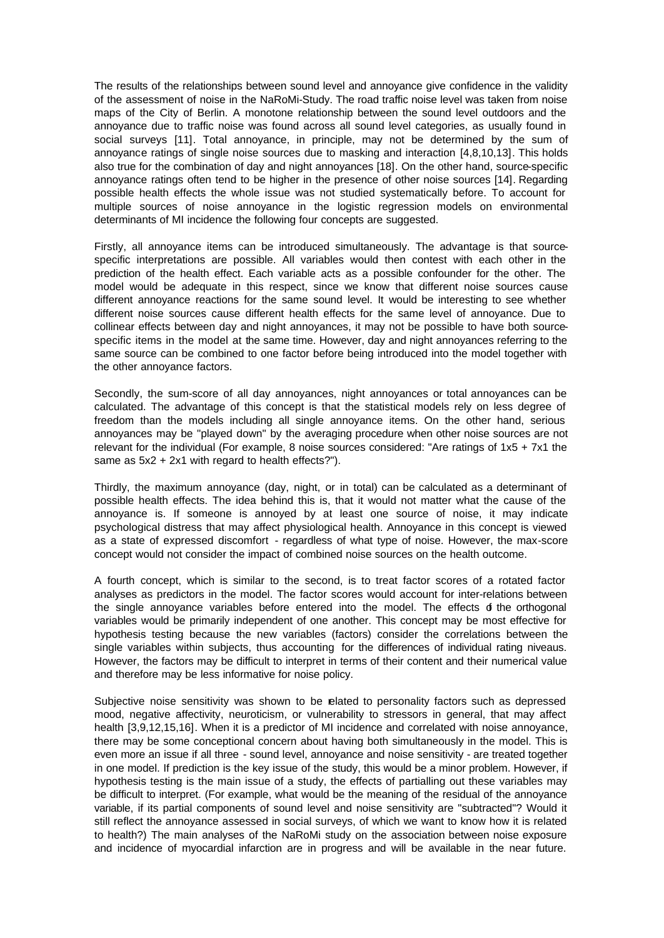The results of the relationships between sound level and annoyance give confidence in the validity of the assessment of noise in the NaRoMi-Study. The road traffic noise level was taken from noise maps of the City of Berlin. A monotone relationship between the sound level outdoors and the annoyance due to traffic noise was found across all sound level categories, as usually found in social surveys [11]. Total annoyance, in principle, may not be determined by the sum of annoyance ratings of single noise sources due to masking and interaction [4,8,10,13]. This holds also true for the combination of day and night annoyances [18]. On the other hand, source-specific annoyance ratings often tend to be higher in the presence of other noise sources [14]. Regarding possible health effects the whole issue was not studied systematically before. To account for multiple sources of noise annoyance in the logistic regression models on environmental determinants of MI incidence the following four concepts are suggested.

Firstly, all annoyance items can be introduced simultaneously. The advantage is that sourcespecific interpretations are possible. All variables would then contest with each other in the prediction of the health effect. Each variable acts as a possible confounder for the other. The model would be adequate in this respect, since we know that different noise sources cause different annoyance reactions for the same sound level. It would be interesting to see whether different noise sources cause different health effects for the same level of annoyance. Due to collinear effects between day and night annoyances, it may not be possible to have both sourcespecific items in the model at the same time. However, day and night annoyances referring to the same source can be combined to one factor before being introduced into the model together with the other annoyance factors.

Secondly, the sum-score of all day annoyances, night annoyances or total annoyances can be calculated. The advantage of this concept is that the statistical models rely on less degree of freedom than the models including all single annoyance items. On the other hand, serious annoyances may be "played down" by the averaging procedure when other noise sources are not relevant for the individual (For example, 8 noise sources considered: "Are ratings of 1x5 + 7x1 the same as 5x2 + 2x1 with regard to health effects?").

Thirdly, the maximum annoyance (day, night, or in total) can be calculated as a determinant of possible health effects. The idea behind this is, that it would not matter what the cause of the annoyance is. If someone is annoyed by at least one source of noise, it may indicate psychological distress that may affect physiological health. Annoyance in this concept is viewed as a state of expressed discomfort - regardless of what type of noise. However, the max-score concept would not consider the impact of combined noise sources on the health outcome.

A fourth concept, which is similar to the second, is to treat factor scores of a rotated factor analyses as predictors in the model. The factor scores would account for inter-relations between the single annoyance variables before entered into the model. The effects of the orthogonal variables would be primarily independent of one another. This concept may be most effective for hypothesis testing because the new variables (factors) consider the correlations between the single variables within subjects, thus accounting for the differences of individual rating niveaus. However, the factors may be difficult to interpret in terms of their content and their numerical value and therefore may be less informative for noise policy.

Subjective noise sensitivity was shown to be elated to personality factors such as depressed mood, negative affectivity, neuroticism, or vulnerability to stressors in general, that may affect health [3,9,12,15,16]. When it is a predictor of MI incidence and correlated with noise annoyance, there may be some conceptional concern about having both simultaneously in the model. This is even more an issue if all three - sound level, annoyance and noise sensitivity - are treated together in one model. If prediction is the key issue of the study, this would be a minor problem. However, if hypothesis testing is the main issue of a study, the effects of partialling out these variables may be difficult to interpret. (For example, what would be the meaning of the residual of the annoyance variable, if its partial components of sound level and noise sensitivity are "subtracted"? Would it still reflect the annoyance assessed in social surveys, of which we want to know how it is related to health?) The main analyses of the NaRoMi study on the association between noise exposure and incidence of myocardial infarction are in progress and will be available in the near future.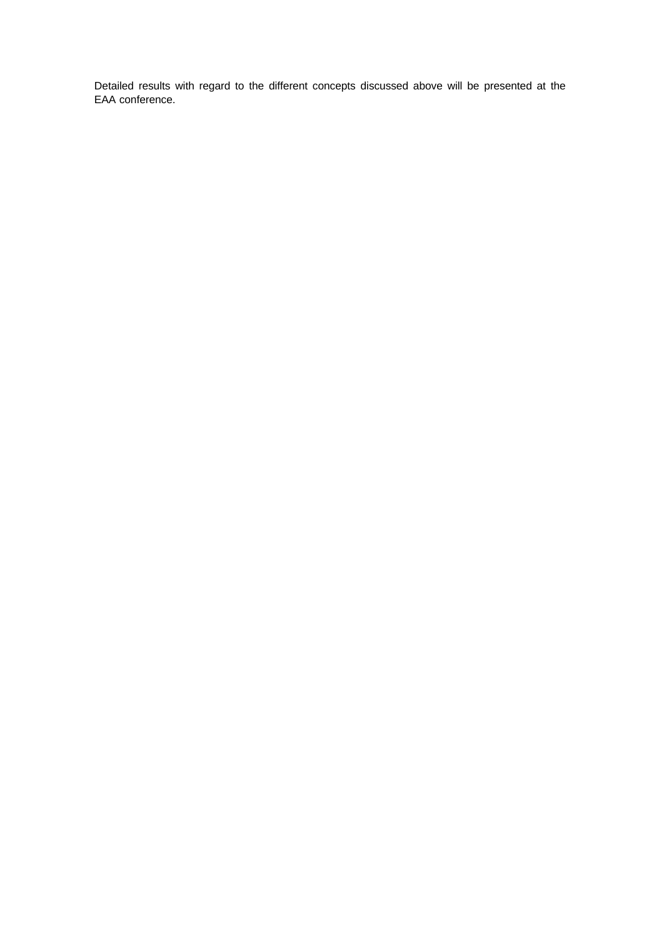Detailed results with regard to the different concepts discussed above will be presented at the EAA conference.